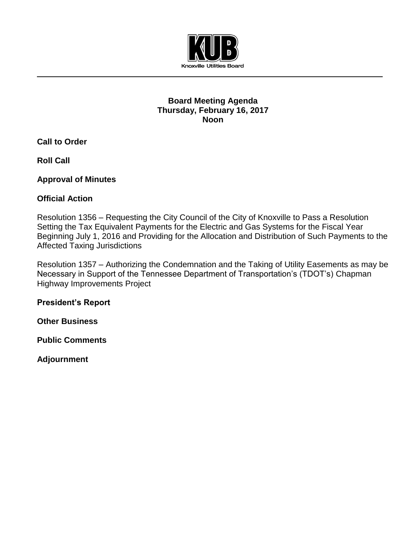

#### **Board Meeting Agenda Thursday, February 16, 2017 Noon**

**Call to Order**

**Roll Call**

**Approval of Minutes**

# **Official Action**

Resolution 1356 – Requesting the City Council of the City of Knoxville to Pass a Resolution Setting the Tax Equivalent Payments for the Electric and Gas Systems for the Fiscal Year Beginning July 1, 2016 and Providing for the Allocation and Distribution of Such Payments to the Affected Taxing Jurisdictions

Resolution 1357 – Authorizing the Condemnation and the Taking of Utility Easements as may be Necessary in Support of the Tennessee Department of Transportation's (TDOT's) Chapman Highway Improvements Project

**President's Report**

**Other Business**

**Public Comments**

**Adjournment**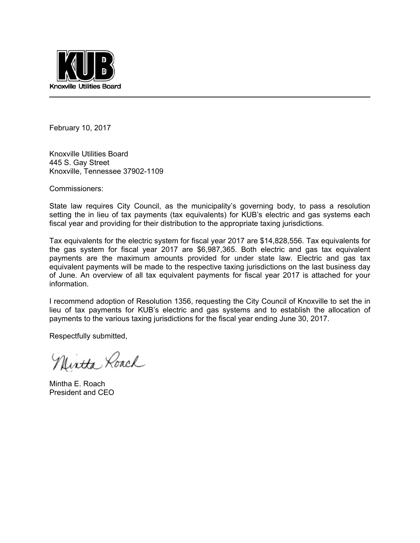

February 10, 2017

Knoxville Utilities Board 445 S. Gay Street Knoxville, Tennessee 37902-1109

Commissioners:

State law requires City Council, as the municipality's governing body, to pass a resolution setting the in lieu of tax payments (tax equivalents) for KUB's electric and gas systems each fiscal year and providing for their distribution to the appropriate taxing jurisdictions.

Tax equivalents for the electric system for fiscal year 2017 are \$14,828,556. Tax equivalents for the gas system for fiscal year 2017 are \$6,987,365. Both electric and gas tax equivalent payments are the maximum amounts provided for under state law. Electric and gas tax equivalent payments will be made to the respective taxing jurisdictions on the last business day of June. An overview of all tax equivalent payments for fiscal year 2017 is attached for your information.

I recommend adoption of Resolution 1356, requesting the City Council of Knoxville to set the in lieu of tax payments for KUB's electric and gas systems and to establish the allocation of payments to the various taxing jurisdictions for the fiscal year ending June 30, 2017.

Respectfully submitted,

Nintha Roach

Mintha E. Roach President and CEO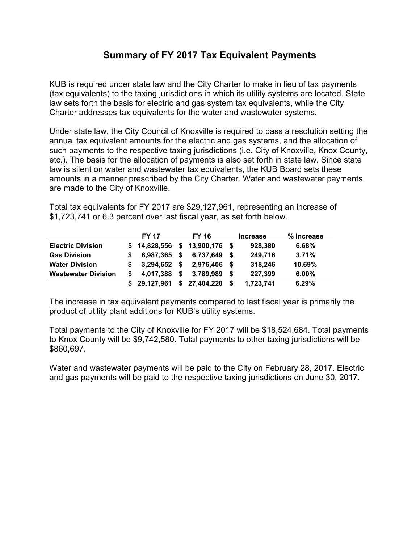# **Summary of FY 2017 Tax Equivalent Payments**

KUB is required under state law and the City Charter to make in lieu of tax payments (tax equivalents) to the taxing jurisdictions in which its utility systems are located. State law sets forth the basis for electric and gas system tax equivalents, while the City Charter addresses tax equivalents for the water and wastewater systems.

Under state law, the City Council of Knoxville is required to pass a resolution setting the annual tax equivalent amounts for the electric and gas systems, and the allocation of such payments to the respective taxing jurisdictions (i.e. City of Knoxville, Knox County, etc.). The basis for the allocation of payments is also set forth in state law. Since state law is silent on water and wastewater tax equivalents, the KUB Board sets these amounts in a manner prescribed by the City Charter. Water and wastewater payments are made to the City of Knoxville.

Total tax equivalents for FY 2017 are \$29,127,961, representing an increase of \$1,723,741 or 6.3 percent over last fiscal year, as set forth below.

|                            | <b>FY 17</b> |      | <b>FY 16</b>  |      | <b>Increase</b> | % Increase |
|----------------------------|--------------|------|---------------|------|-----------------|------------|
| <b>Electric Division</b>   | \$14,828,556 | - \$ | 13,900,176 \$ |      | 928,380         | 6.68%      |
| <b>Gas Division</b>        | 6,987,365 \$ |      | 6,737,649     | - \$ | 249,716         | 3.71%      |
| <b>Water Division</b>      | 3,294,652    | - \$ | 2,976,406     | - \$ | 318,246         | 10.69%     |
| <b>Wastewater Division</b> | 4.017.388    | -S   | 3.789.989     |      | 227,399         | 6.00%      |
|                            | 29,127,961   | \$   | 27,404,220    |      | 1,723,741       | 6.29%      |

The increase in tax equivalent payments compared to last fiscal year is primarily the product of utility plant additions for KUB's utility systems.

Total payments to the City of Knoxville for FY 2017 will be \$18,524,684. Total payments to Knox County will be \$9,742,580. Total payments to other taxing jurisdictions will be \$860,697.

Water and wastewater payments will be paid to the City on February 28, 2017. Electric and gas payments will be paid to the respective taxing jurisdictions on June 30, 2017.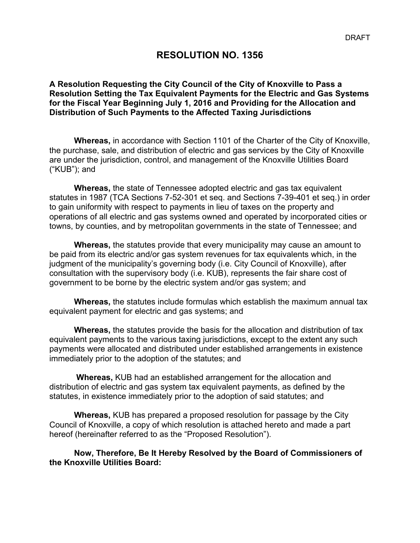#### **RESOLUTION NO. 1356**

#### **A Resolution Requesting the City Council of the City of Knoxville to Pass a Resolution Setting the Tax Equivalent Payments for the Electric and Gas Systems for the Fiscal Year Beginning July 1, 2016 and Providing for the Allocation and Distribution of Such Payments to the Affected Taxing Jurisdictions**

**Whereas,** in accordance with Section 1101 of the Charter of the City of Knoxville, the purchase, sale, and distribution of electric and gas services by the City of Knoxville are under the jurisdiction, control, and management of the Knoxville Utilities Board ("KUB"); and

**Whereas,** the state of Tennessee adopted electric and gas tax equivalent statutes in 1987 (TCA Sections 7-52-301 et seq. and Sections 7-39-401 et seq.) in order to gain uniformity with respect to payments in lieu of taxes on the property and operations of all electric and gas systems owned and operated by incorporated cities or towns, by counties, and by metropolitan governments in the state of Tennessee; and

**Whereas,** the statutes provide that every municipality may cause an amount to be paid from its electric and/or gas system revenues for tax equivalents which, in the judgment of the municipality's governing body (i.e. City Council of Knoxville), after consultation with the supervisory body (i.e. KUB), represents the fair share cost of government to be borne by the electric system and/or gas system; and

**Whereas,** the statutes include formulas which establish the maximum annual tax equivalent payment for electric and gas systems; and

**Whereas,** the statutes provide the basis for the allocation and distribution of tax equivalent payments to the various taxing jurisdictions, except to the extent any such payments were allocated and distributed under established arrangements in existence immediately prior to the adoption of the statutes; and

 **Whereas,** KUB had an established arrangement for the allocation and distribution of electric and gas system tax equivalent payments, as defined by the statutes, in existence immediately prior to the adoption of said statutes; and

**Whereas,** KUB has prepared a proposed resolution for passage by the City Council of Knoxville, a copy of which resolution is attached hereto and made a part hereof (hereinafter referred to as the "Proposed Resolution").

**Now, Therefore, Be It Hereby Resolved by the Board of Commissioners of the Knoxville Utilities Board:**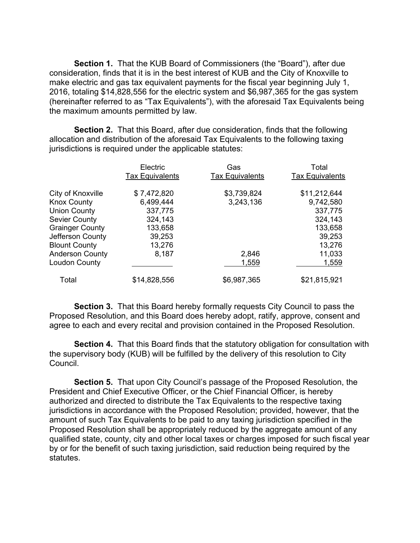**Section 1.** That the KUB Board of Commissioners (the "Board"), after due consideration, finds that it is in the best interest of KUB and the City of Knoxville to make electric and gas tax equivalent payments for the fiscal year beginning July 1, 2016, totaling \$14,828,556 for the electric system and \$6,987,365 for the gas system (hereinafter referred to as "Tax Equivalents"), with the aforesaid Tax Equivalents being the maximum amounts permitted by law.

**Section 2.** That this Board, after due consideration, finds that the following allocation and distribution of the aforesaid Tax Equivalents to the following taxing jurisdictions is required under the applicable statutes:

|                        | Electric               | Gas                    | Total                  |
|------------------------|------------------------|------------------------|------------------------|
|                        | <b>Tax Equivalents</b> | <b>Tax Equivalents</b> | <b>Tax Equivalents</b> |
| City of Knoxville      | \$7,472,820            | \$3,739,824            | \$11,212,644           |
| <b>Knox County</b>     | 6,499,444              | 3,243,136              | 9,742,580              |
| <b>Union County</b>    | 337,775                |                        | 337,775                |
| <b>Sevier County</b>   | 324,143                |                        | 324,143                |
| <b>Grainger County</b> | 133,658                |                        | 133,658                |
| Jefferson County       | 39,253                 |                        | 39,253                 |
| <b>Blount County</b>   | 13,276                 |                        | 13,276                 |
| <b>Anderson County</b> | 8,187                  | 2,846                  | 11,033                 |
| Loudon County          |                        | 1,559                  | 1,559                  |
| Total                  | \$14,828,556           | \$6,987,365            | \$21,815,921           |

**Section 3.** That this Board hereby formally requests City Council to pass the Proposed Resolution, and this Board does hereby adopt, ratify, approve, consent and agree to each and every recital and provision contained in the Proposed Resolution.

**Section 4.** That this Board finds that the statutory obligation for consultation with the supervisory body (KUB) will be fulfilled by the delivery of this resolution to City Council.

 **Section 5.** That upon City Council's passage of the Proposed Resolution, the President and Chief Executive Officer, or the Chief Financial Officer, is hereby authorized and directed to distribute the Tax Equivalents to the respective taxing jurisdictions in accordance with the Proposed Resolution; provided, however, that the amount of such Tax Equivalents to be paid to any taxing jurisdiction specified in the Proposed Resolution shall be appropriately reduced by the aggregate amount of any qualified state, county, city and other local taxes or charges imposed for such fiscal year by or for the benefit of such taxing jurisdiction, said reduction being required by the statutes.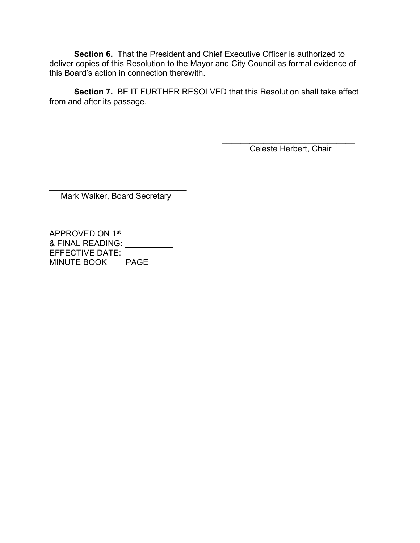**Section 6.** That the President and Chief Executive Officer is authorized to deliver copies of this Resolution to the Mayor and City Council as formal evidence of this Board's action in connection therewith.

**Section 7.** BE IT FURTHER RESOLVED that this Resolution shall take effect from and after its passage.

> $\mathcal{L}_\text{max}$  , where  $\mathcal{L}_\text{max}$  and  $\mathcal{L}_\text{max}$  and  $\mathcal{L}_\text{max}$ Celeste Herbert, Chair

 $\mathcal{L}_\text{max}$  , and the set of the set of the set of the set of the set of the set of the set of the set of the set of the set of the set of the set of the set of the set of the set of the set of the set of the set of the Mark Walker, Board Secretary

APPROVED ON 1st & FINAL READING: EFFECTIVE DATE: MINUTE BOOK <u>PAGE</u>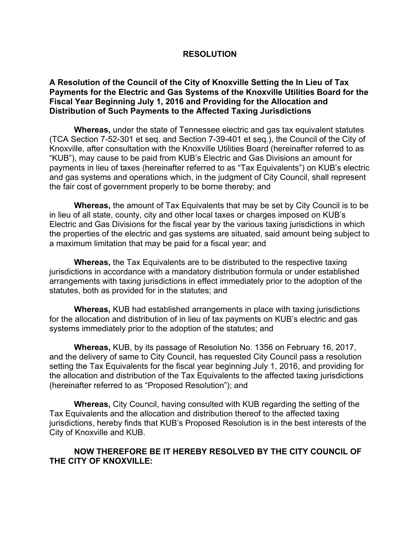#### **RESOLUTION**

#### **A Resolution of the Council of the City of Knoxville Setting the In Lieu of Tax Payments for the Electric and Gas Systems of the Knoxville Utilities Board for the Fiscal Year Beginning July 1, 2016 and Providing for the Allocation and Distribution of Such Payments to the Affected Taxing Jurisdictions**

**Whereas,** under the state of Tennessee electric and gas tax equivalent statutes (TCA Section 7-52-301 et seq. and Section 7-39-401 et seq.), the Council of the City of Knoxville, after consultation with the Knoxville Utilities Board (hereinafter referred to as "KUB"), may cause to be paid from KUB's Electric and Gas Divisions an amount for payments in lieu of taxes (hereinafter referred to as "Tax Equivalents") on KUB's electric and gas systems and operations which, in the judgment of City Council, shall represent the fair cost of government properly to be borne thereby; and

**Whereas,** the amount of Tax Equivalents that may be set by City Council is to be in lieu of all state, county, city and other local taxes or charges imposed on KUB's Electric and Gas Divisions for the fiscal year by the various taxing jurisdictions in which the properties of the electric and gas systems are situated, said amount being subject to a maximum limitation that may be paid for a fiscal year; and

**Whereas,** the Tax Equivalents are to be distributed to the respective taxing jurisdictions in accordance with a mandatory distribution formula or under established arrangements with taxing jurisdictions in effect immediately prior to the adoption of the statutes, both as provided for in the statutes; and

**Whereas,** KUB had established arrangements in place with taxing jurisdictions for the allocation and distribution of in lieu of tax payments on KUB's electric and gas systems immediately prior to the adoption of the statutes; and

**Whereas,** KUB, by its passage of Resolution No. 1356 on February 16, 2017, and the delivery of same to City Council, has requested City Council pass a resolution setting the Tax Equivalents for the fiscal year beginning July 1, 2016, and providing for the allocation and distribution of the Tax Equivalents to the affected taxing jurisdictions (hereinafter referred to as "Proposed Resolution"); and

**Whereas,** City Council, having consulted with KUB regarding the setting of the Tax Equivalents and the allocation and distribution thereof to the affected taxing jurisdictions, hereby finds that KUB's Proposed Resolution is in the best interests of the City of Knoxville and KUB.

#### **NOW THEREFORE BE IT HEREBY RESOLVED BY THE CITY COUNCIL OF THE CITY OF KNOXVILLE:**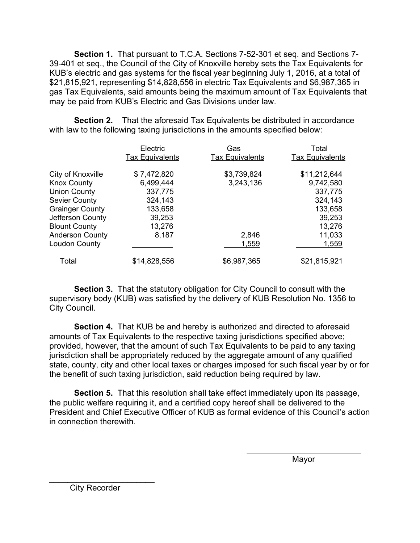**Section 1.** That pursuant to T.C.A. Sections 7-52-301 et seq. and Sections 7- 39-401 et seq., the Council of the City of Knoxville hereby sets the Tax Equivalents for KUB's electric and gas systems for the fiscal year beginning July 1, 2016, at a total of \$21,815,921, representing \$14,828,556 in electric Tax Equivalents and \$6,987,365 in gas Tax Equivalents, said amounts being the maximum amount of Tax Equivalents that may be paid from KUB's Electric and Gas Divisions under law.

**Section 2.** That the aforesaid Tax Equivalents be distributed in accordance with law to the following taxing jurisdictions in the amounts specified below:

|                        | Electric<br><b>Tax Equivalents</b> | Gas<br><b>Tax Equivalents</b> | Total<br><b>Tax Equivalents</b> |
|------------------------|------------------------------------|-------------------------------|---------------------------------|
| City of Knoxville      | \$7,472,820                        | \$3,739,824                   | \$11,212,644                    |
| <b>Knox County</b>     | 6,499,444                          | 3,243,136                     | 9,742,580                       |
| <b>Union County</b>    | 337,775                            |                               | 337,775                         |
| <b>Sevier County</b>   | 324,143                            |                               | 324,143                         |
| <b>Grainger County</b> | 133,658                            |                               | 133,658                         |
| Jefferson County       | 39,253                             |                               | 39,253                          |
| <b>Blount County</b>   | 13,276                             |                               | 13,276                          |
| <b>Anderson County</b> | 8,187                              | 2,846                         | 11,033                          |
| <b>Loudon County</b>   |                                    | 1,559                         | 1,559                           |
| Total                  | \$14,828,556                       | \$6,987,365                   | \$21,815,921                    |

**Section 3.** That the statutory obligation for City Council to consult with the supervisory body (KUB) was satisfied by the delivery of KUB Resolution No. 1356 to City Council.

 **Section 4.** That KUB be and hereby is authorized and directed to aforesaid amounts of Tax Equivalents to the respective taxing jurisdictions specified above; provided, however, that the amount of such Tax Equivalents to be paid to any taxing jurisdiction shall be appropriately reduced by the aggregate amount of any qualified state, county, city and other local taxes or charges imposed for such fiscal year by or for the benefit of such taxing jurisdiction, said reduction being required by law.

**Section 5.** That this resolution shall take effect immediately upon its passage, the public welfare requiring it, and a certified copy hereof shall be delivered to the President and Chief Executive Officer of KUB as formal evidence of this Council's action in connection therewith.

 $\overline{\phantom{a}}$  , and the contract of the contract of the contract of the contract of the contract of the contract of the contract of the contract of the contract of the contract of the contract of the contract of the contrac

where the contract of the contract of the Mayor Mayor

City Recorder

\_\_\_\_\_\_\_\_\_\_\_\_\_\_\_\_\_\_\_\_\_\_\_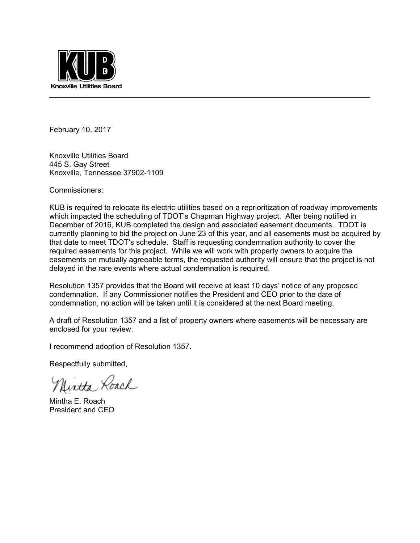

February 10, 2017

Knoxville Utilities Board 445 S. Gay Street Knoxville, Tennessee 37902-1109

Commissioners:

KUB is required to relocate its electric utilities based on a reprioritization of roadway improvements which impacted the scheduling of TDOT's Chapman Highway project. After being notified in December of 2016, KUB completed the design and associated easement documents. TDOT is currently planning to bid the project on June 23 of this year, and all easements must be acquired by that date to meet TDOT's schedule. Staff is requesting condemnation authority to cover the required easements for this project. While we will work with property owners to acquire the easements on mutually agreeable terms, the requested authority will ensure that the project is not delayed in the rare events where actual condemnation is required.

Resolution 1357 provides that the Board will receive at least 10 days' notice of any proposed condemnation. If any Commissioner notifies the President and CEO prior to the date of condemnation, no action will be taken until it is considered at the next Board meeting.

A draft of Resolution 1357 and a list of property owners where easements will be necessary are enclosed for your review.

I recommend adoption of Resolution 1357.

Respectfully submitted,

Uirtha Roach

Mintha E. Roach President and CEO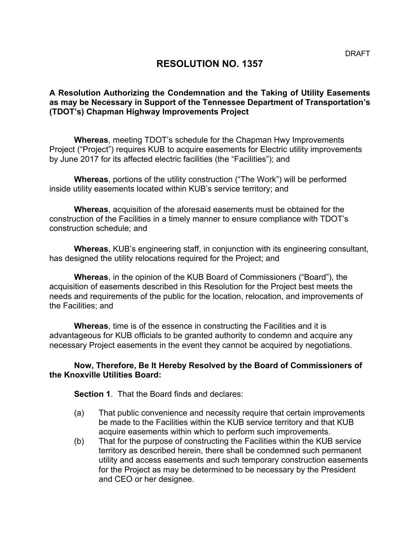# **RESOLUTION NO. 1357**

#### **A Resolution Authorizing the Condemnation and the Taking of Utility Easements as may be Necessary in Support of the Tennessee Department of Transportation's (TDOT's) Chapman Highway Improvements Project**

**Whereas**, meeting TDOT's schedule for the Chapman Hwy Improvements Project ("Project") requires KUB to acquire easements for Electric utility improvements by June 2017 for its affected electric facilities (the "Facilities"); and

**Whereas**, portions of the utility construction ("The Work") will be performed inside utility easements located within KUB's service territory; and

**Whereas**, acquisition of the aforesaid easements must be obtained for the construction of the Facilities in a timely manner to ensure compliance with TDOT's construction schedule; and

**Whereas**, KUB's engineering staff, in conjunction with its engineering consultant, has designed the utility relocations required for the Project; and

**Whereas**, in the opinion of the KUB Board of Commissioners ("Board"), the acquisition of easements described in this Resolution for the Project best meets the needs and requirements of the public for the location, relocation, and improvements of the Facilities; and

**Whereas**, time is of the essence in constructing the Facilities and it is advantageous for KUB officials to be granted authority to condemn and acquire any necessary Project easements in the event they cannot be acquired by negotiations.

#### **Now, Therefore, Be It Hereby Resolved by the Board of Commissioners of the Knoxville Utilities Board:**

**Section 1**. That the Board finds and declares:

- (a) That public convenience and necessity require that certain improvements be made to the Facilities within the KUB service territory and that KUB acquire easements within which to perform such improvements.
- (b) That for the purpose of constructing the Facilities within the KUB service territory as described herein, there shall be condemned such permanent utility and access easements and such temporary construction easements for the Project as may be determined to be necessary by the President and CEO or her designee.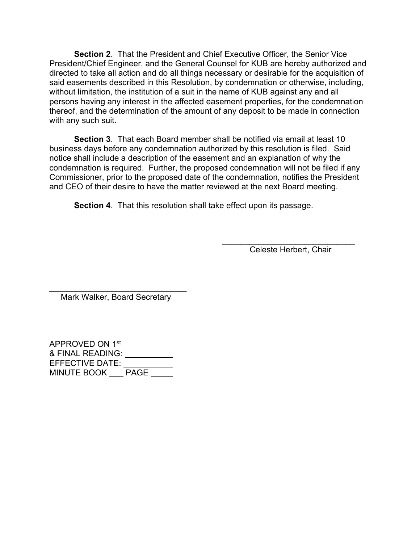**Section 2**. That the President and Chief Executive Officer, the Senior Vice President/Chief Engineer, and the General Counsel for KUB are hereby authorized and directed to take all action and do all things necessary or desirable for the acquisition of said easements described in this Resolution, by condemnation or otherwise, including, without limitation, the institution of a suit in the name of KUB against any and all persons having any interest in the affected easement properties, for the condemnation thereof, and the determination of the amount of any deposit to be made in connection with any such suit.

**Section 3**. That each Board member shall be notified via email at least 10 business days before any condemnation authorized by this resolution is filed. Said notice shall include a description of the easement and an explanation of why the condemnation is required. Further, the proposed condemnation will not be filed if any Commissioner, prior to the proposed date of the condemnation, notifies the President and CEO of their desire to have the matter reviewed at the next Board meeting.

**Section 4**. That this resolution shall take effect upon its passage.

 $\overline{\phantom{a}}$  , and the set of the set of the set of the set of the set of the set of the set of the set of the set of the set of the set of the set of the set of the set of the set of the set of the set of the set of the s Celeste Herbert, Chair

 $\overline{\phantom{a}}$  , and the set of the set of the set of the set of the set of the set of the set of the set of the set of the set of the set of the set of the set of the set of the set of the set of the set of the set of the s Mark Walker, Board Secretary

APPROVED ON 1st & FINAL READING: EFFECTIVE DATE: MINUTE BOOK <u>PAGE</u>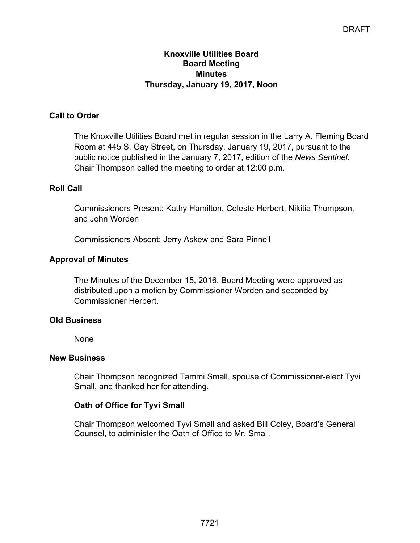#### **Knoxville Utilities Board Board Meeting Minutes Thursday, January 19, 2017, Noon**

## **Call to Order**

The Knoxville Utilities Board met in regular session in the Larry A. Fleming Board Room at 445 S. Gay Street, on Thursday, January 19, 2017, pursuant to the public notice published in the January 7, 2017, edition of the *News Sentinel*. Chair Thompson called the meeting to order at 12:00 p.m.

## **Roll Call**

Commissioners Present: Kathy Hamilton, Celeste Herbert, Nikitia Thompson, and John Worden

Commissioners Absent: Jerry Askew and Sara Pinnell

## **Approval of Minutes**

The Minutes of the December 15, 2016, Board Meeting were approved as distributed upon a motion by Commissioner Worden and seconded by Commissioner Herbert.

#### **Old Business**

None

#### **New Business**

Chair Thompson recognized Tammi Small, spouse of Commissioner-elect Tyvi Small, and thanked her for attending.

## **Oath of Office for Tyvi Small**

Chair Thompson welcomed Tyvi Small and asked Bill Coley, Board's General Counsel, to administer the Oath of Office to Mr. Small.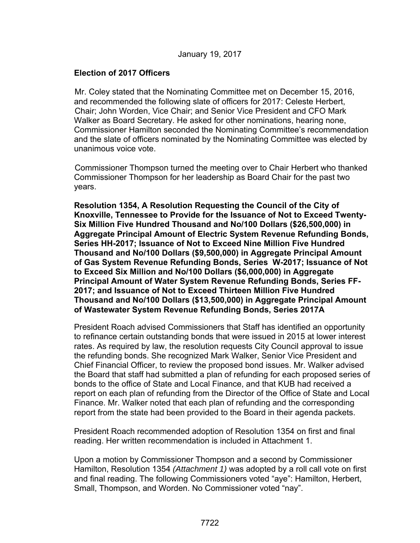#### **Election of 2017 Officers**

Mr. Coley stated that the Nominating Committee met on December 15, 2016, and recommended the following slate of officers for 2017: Celeste Herbert, Chair; John Worden, Vice Chair; and Senior Vice President and CFO Mark Walker as Board Secretary. He asked for other nominations, hearing none, Commissioner Hamilton seconded the Nominating Committee's recommendation and the slate of officers nominated by the Nominating Committee was elected by unanimous voice vote.

Commissioner Thompson turned the meeting over to Chair Herbert who thanked Commissioner Thompson for her leadership as Board Chair for the past two years.

**Resolution 1354, A Resolution Requesting the Council of the City of Knoxville, Tennessee to Provide for the Issuance of Not to Exceed Twenty-Six Million Five Hundred Thousand and No/100 Dollars (\$26,500,000) in Aggregate Principal Amount of Electric System Revenue Refunding Bonds, Series HH-2017; Issuance of Not to Exceed Nine Million Five Hundred Thousand and No/100 Dollars (\$9,500,000) in Aggregate Principal Amount of Gas System Revenue Refunding Bonds, Series W-2017; Issuance of Not to Exceed Six Million and No/100 Dollars (\$6,000,000) in Aggregate Principal Amount of Water System Revenue Refunding Bonds, Series FF-2017; and Issuance of Not to Exceed Thirteen Million Five Hundred Thousand and No/100 Dollars (\$13,500,000) in Aggregate Principal Amount of Wastewater System Revenue Refunding Bonds, Series 2017A**

President Roach advised Commissioners that Staff has identified an opportunity to refinance certain outstanding bonds that were issued in 2015 at lower interest rates. As required by law, the resolution requests City Council approval to issue the refunding bonds. She recognized Mark Walker, Senior Vice President and Chief Financial Officer, to review the proposed bond issues. Mr. Walker advised the Board that staff had submitted a plan of refunding for each proposed series of bonds to the office of State and Local Finance, and that KUB had received a report on each plan of refunding from the Director of the Office of State and Local Finance. Mr. Walker noted that each plan of refunding and the corresponding report from the state had been provided to the Board in their agenda packets.

President Roach recommended adoption of Resolution 1354 on first and final reading. Her written recommendation is included in Attachment 1.

Upon a motion by Commissioner Thompson and a second by Commissioner Hamilton, Resolution 1354 *(Attachment 1)* was adopted by a roll call vote on first and final reading. The following Commissioners voted "aye": Hamilton, Herbert, Small, Thompson, and Worden. No Commissioner voted "nay".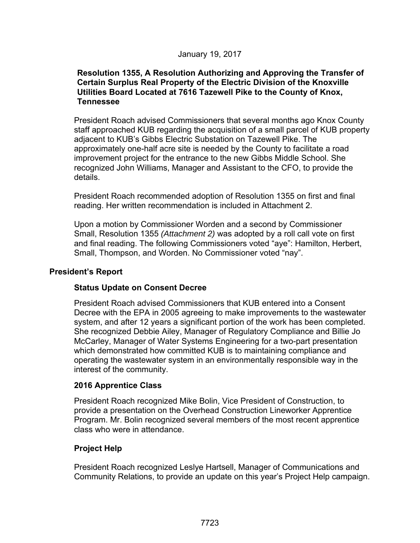#### January 19, 2017

#### **Resolution 1355, A Resolution Authorizing and Approving the Transfer of Certain Surplus Real Property of the Electric Division of the Knoxville Utilities Board Located at 7616 Tazewell Pike to the County of Knox, Tennessee**

President Roach advised Commissioners that several months ago Knox County staff approached KUB regarding the acquisition of a small parcel of KUB property adjacent to KUB's Gibbs Electric Substation on Tazewell Pike. The approximately one-half acre site is needed by the County to facilitate a road improvement project for the entrance to the new Gibbs Middle School. She recognized John Williams, Manager and Assistant to the CFO, to provide the details.

President Roach recommended adoption of Resolution 1355 on first and final reading. Her written recommendation is included in Attachment 2.

Upon a motion by Commissioner Worden and a second by Commissioner Small, Resolution 1355 *(Attachment 2)* was adopted by a roll call vote on first and final reading. The following Commissioners voted "aye": Hamilton, Herbert, Small, Thompson, and Worden. No Commissioner voted "nay".

#### **President's Report**

## **Status Update on Consent Decree**

President Roach advised Commissioners that KUB entered into a Consent Decree with the EPA in 2005 agreeing to make improvements to the wastewater system, and after 12 years a significant portion of the work has been completed. She recognized Debbie Ailey, Manager of Regulatory Compliance and Billie Jo McCarley, Manager of Water Systems Engineering for a two-part presentation which demonstrated how committed KUB is to maintaining compliance and operating the wastewater system in an environmentally responsible way in the interest of the community.

#### **2016 Apprentice Class**

President Roach recognized Mike Bolin, Vice President of Construction, to provide a presentation on the Overhead Construction Lineworker Apprentice Program. Mr. Bolin recognized several members of the most recent apprentice class who were in attendance.

## **Project Help**

President Roach recognized Leslye Hartsell, Manager of Communications and Community Relations, to provide an update on this year's Project Help campaign.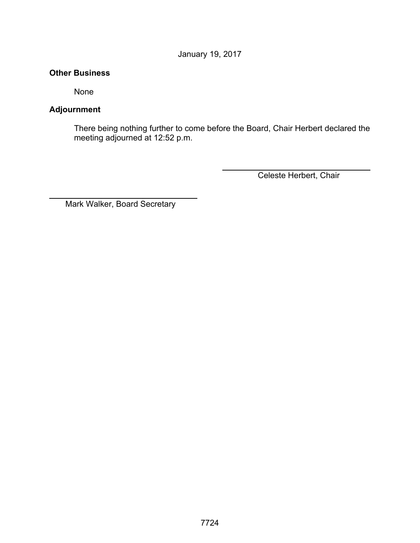January 19, 2017

#### **Other Business**

None

## **Adjournment**

 $\overline{a}$ 

There being nothing further to come before the Board, Chair Herbert declared the meeting adjourned at 12:52 p.m.

Celeste Herbert, Chair

Mark Walker, Board Secretary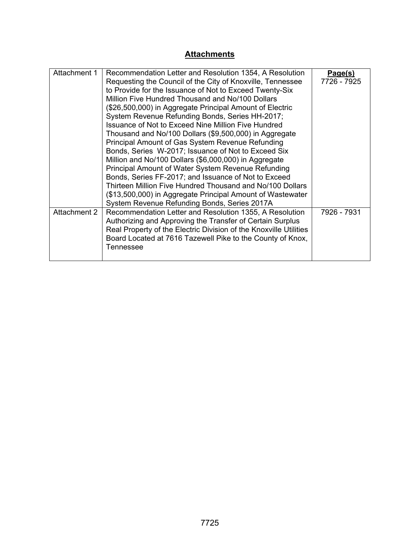# **Attachments**

| Attachment 1 | Recommendation Letter and Resolution 1354, A Resolution           | Page(s)     |
|--------------|-------------------------------------------------------------------|-------------|
|              | Requesting the Council of the City of Knoxville, Tennessee        | 7726 - 7925 |
|              | to Provide for the Issuance of Not to Exceed Twenty-Six           |             |
|              | Million Five Hundred Thousand and No/100 Dollars                  |             |
|              | (\$26,500,000) in Aggregate Principal Amount of Electric          |             |
|              | System Revenue Refunding Bonds, Series HH-2017;                   |             |
|              | Issuance of Not to Exceed Nine Million Five Hundred               |             |
|              | Thousand and No/100 Dollars (\$9,500,000) in Aggregate            |             |
|              | Principal Amount of Gas System Revenue Refunding                  |             |
|              | Bonds, Series W-2017; Issuance of Not to Exceed Six               |             |
|              | Million and No/100 Dollars (\$6,000,000) in Aggregate             |             |
|              | Principal Amount of Water System Revenue Refunding                |             |
|              | Bonds, Series FF-2017; and Issuance of Not to Exceed              |             |
|              | Thirteen Million Five Hundred Thousand and No/100 Dollars         |             |
|              | (\$13,500,000) in Aggregate Principal Amount of Wastewater        |             |
|              | System Revenue Refunding Bonds, Series 2017A                      |             |
| Attachment 2 | Recommendation Letter and Resolution 1355, A Resolution           | 7926 - 7931 |
|              | Authorizing and Approving the Transfer of Certain Surplus         |             |
|              | Real Property of the Electric Division of the Knoxville Utilities |             |
|              | Board Located at 7616 Tazewell Pike to the County of Knox,        |             |
|              | Tennessee                                                         |             |
|              |                                                                   |             |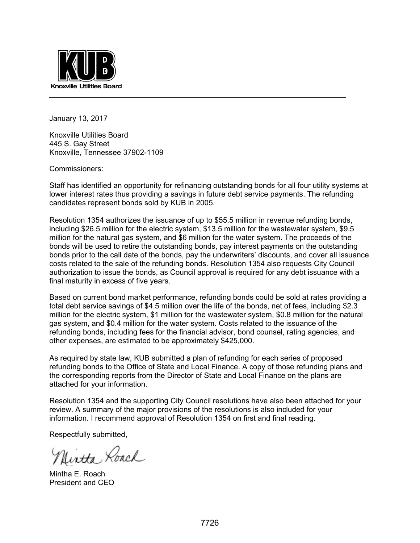

January 13, 2017

Knoxville Utilities Board 445 S. Gay Street Knoxville, Tennessee 37902-1109

Commissioners:

Staff has identified an opportunity for refinancing outstanding bonds for all four utility systems at lower interest rates thus providing a savings in future debt service payments. The refunding candidates represent bonds sold by KUB in 2005.

Resolution 1354 authorizes the issuance of up to \$55.5 million in revenue refunding bonds, including \$26.5 million for the electric system, \$13.5 million for the wastewater system, \$9.5 million for the natural gas system, and \$6 million for the water system. The proceeds of the bonds will be used to retire the outstanding bonds, pay interest payments on the outstanding bonds prior to the call date of the bonds, pay the underwriters' discounts, and cover all issuance costs related to the sale of the refunding bonds. Resolution 1354 also requests City Council authorization to issue the bonds, as Council approval is required for any debt issuance with a final maturity in excess of five years.

Based on current bond market performance, refunding bonds could be sold at rates providing a total debt service savings of \$4.5 million over the life of the bonds, net of fees, including \$2.3 million for the electric system, \$1 million for the wastewater system, \$0.8 million for the natural gas system, and \$0.4 million for the water system. Costs related to the issuance of the refunding bonds, including fees for the financial advisor, bond counsel, rating agencies, and other expenses, are estimated to be approximately \$425,000.

As required by state law, KUB submitted a plan of refunding for each series of proposed refunding bonds to the Office of State and Local Finance. A copy of those refunding plans and the corresponding reports from the Director of State and Local Finance on the plans are attached for your information.

Resolution 1354 and the supporting City Council resolutions have also been attached for your review. A summary of the major provisions of the resolutions is also included for your information. I recommend approval of Resolution 1354 on first and final reading.

Respectfully submitted,

Uirtha Roach

Mintha E. Roach President and CEO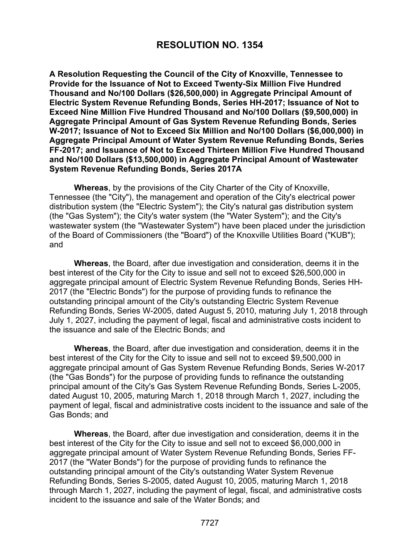# **RESOLUTION NO. 1354**

**A Resolution Requesting the Council of the City of Knoxville, Tennessee to Provide for the Issuance of Not to Exceed Twenty-Six Million Five Hundred Thousand and No/100 Dollars (\$26,500,000) in Aggregate Principal Amount of Electric System Revenue Refunding Bonds, Series HH-2017; Issuance of Not to Exceed Nine Million Five Hundred Thousand and No/100 Dollars (\$9,500,000) in Aggregate Principal Amount of Gas System Revenue Refunding Bonds, Series W-2017; Issuance of Not to Exceed Six Million and No/100 Dollars (\$6,000,000) in Aggregate Principal Amount of Water System Revenue Refunding Bonds, Series FF-2017; and Issuance of Not to Exceed Thirteen Million Five Hundred Thousand and No/100 Dollars (\$13,500,000) in Aggregate Principal Amount of Wastewater System Revenue Refunding Bonds, Series 2017A** 

**Whereas**, by the provisions of the City Charter of the City of Knoxville, Tennessee (the "City"), the management and operation of the City's electrical power distribution system (the "Electric System"); the City's natural gas distribution system (the "Gas System"); the City's water system (the "Water System"); and the City's wastewater system (the "Wastewater System") have been placed under the jurisdiction of the Board of Commissioners (the "Board") of the Knoxville Utilities Board ("KUB"); and

**Whereas**, the Board, after due investigation and consideration, deems it in the best interest of the City for the City to issue and sell not to exceed \$26,500,000 in aggregate principal amount of Electric System Revenue Refunding Bonds, Series HH-2017 (the "Electric Bonds") for the purpose of providing funds to refinance the outstanding principal amount of the City's outstanding Electric System Revenue Refunding Bonds, Series W-2005, dated August 5, 2010, maturing July 1, 2018 through July 1, 2027, including the payment of legal, fiscal and administrative costs incident to the issuance and sale of the Electric Bonds; and

 **Whereas**, the Board, after due investigation and consideration, deems it in the best interest of the City for the City to issue and sell not to exceed \$9,500,000 in aggregate principal amount of Gas System Revenue Refunding Bonds, Series W-2017 (the "Gas Bonds") for the purpose of providing funds to refinance the outstanding principal amount of the City's Gas System Revenue Refunding Bonds, Series L-2005, dated August 10, 2005, maturing March 1, 2018 through March 1, 2027, including the payment of legal, fiscal and administrative costs incident to the issuance and sale of the Gas Bonds; and

 **Whereas**, the Board, after due investigation and consideration, deems it in the best interest of the City for the City to issue and sell not to exceed \$6,000,000 in aggregate principal amount of Water System Revenue Refunding Bonds, Series FF-2017 (the "Water Bonds") for the purpose of providing funds to refinance the outstanding principal amount of the City's outstanding Water System Revenue Refunding Bonds, Series S-2005, dated August 10, 2005, maturing March 1, 2018 through March 1, 2027, including the payment of legal, fiscal, and administrative costs incident to the issuance and sale of the Water Bonds; and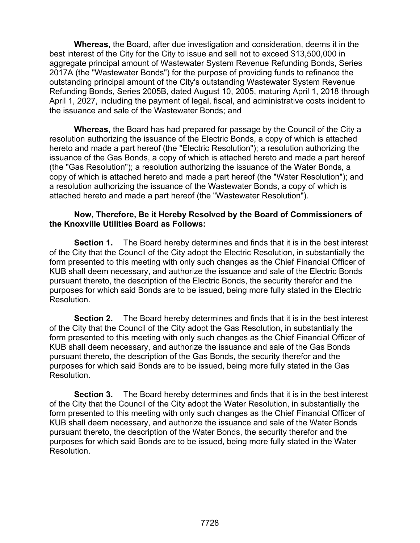**Whereas**, the Board, after due investigation and consideration, deems it in the best interest of the City for the City to issue and sell not to exceed \$13,500,000 in aggregate principal amount of Wastewater System Revenue Refunding Bonds, Series 2017A (the "Wastewater Bonds") for the purpose of providing funds to refinance the outstanding principal amount of the City's outstanding Wastewater System Revenue Refunding Bonds, Series 2005B, dated August 10, 2005, maturing April 1, 2018 through April 1, 2027, including the payment of legal, fiscal, and administrative costs incident to the issuance and sale of the Wastewater Bonds; and

 **Whereas**, the Board has had prepared for passage by the Council of the City a resolution authorizing the issuance of the Electric Bonds, a copy of which is attached hereto and made a part hereof (the "Electric Resolution"); a resolution authorizing the issuance of the Gas Bonds, a copy of which is attached hereto and made a part hereof (the "Gas Resolution"); a resolution authorizing the issuance of the Water Bonds, a copy of which is attached hereto and made a part hereof (the "Water Resolution"); and a resolution authorizing the issuance of the Wastewater Bonds, a copy of which is attached hereto and made a part hereof (the "Wastewater Resolution").

#### **Now, Therefore, Be it Hereby Resolved by the Board of Commissioners of the Knoxville Utilities Board as Follows:**

**Section 1.** The Board hereby determines and finds that it is in the best interest of the City that the Council of the City adopt the Electric Resolution, in substantially the form presented to this meeting with only such changes as the Chief Financial Officer of KUB shall deem necessary, and authorize the issuance and sale of the Electric Bonds pursuant thereto, the description of the Electric Bonds, the security therefor and the purposes for which said Bonds are to be issued, being more fully stated in the Electric Resolution.

**Section 2.** The Board hereby determines and finds that it is in the best interest of the City that the Council of the City adopt the Gas Resolution, in substantially the form presented to this meeting with only such changes as the Chief Financial Officer of KUB shall deem necessary, and authorize the issuance and sale of the Gas Bonds pursuant thereto, the description of the Gas Bonds, the security therefor and the purposes for which said Bonds are to be issued, being more fully stated in the Gas Resolution.

**Section 3.** The Board hereby determines and finds that it is in the best interest of the City that the Council of the City adopt the Water Resolution, in substantially the form presented to this meeting with only such changes as the Chief Financial Officer of KUB shall deem necessary, and authorize the issuance and sale of the Water Bonds pursuant thereto, the description of the Water Bonds, the security therefor and the purposes for which said Bonds are to be issued, being more fully stated in the Water Resolution.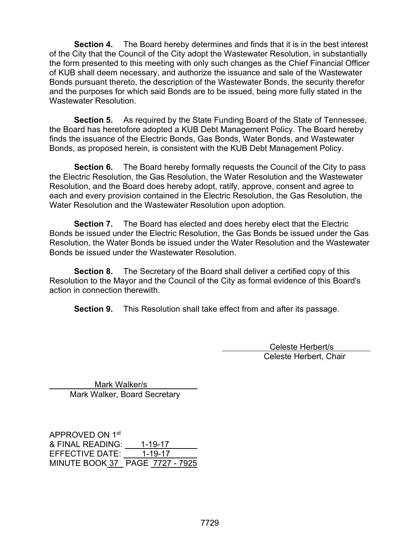**Section 4.** The Board hereby determines and finds that it is in the best interest of the City that the Council of the City adopt the Wastewater Resolution, in substantially the form presented to this meeting with only such changes as the Chief Financial Officer of KUB shall deem necessary, and authorize the issuance and sale of the Wastewater Bonds pursuant thereto, the description of the Wastewater Bonds, the security therefor and the purposes for which said Bonds are to be issued, being more fully stated in the Wastewater Resolution.

**Section 5.** As required by the State Funding Board of the State of Tennessee, the Board has heretofore adopted a KUB Debt Management Policy. The Board hereby finds the issuance of the Electric Bonds, Gas Bonds, Water Bonds, and Wastewater Bonds, as proposed herein, is consistent with the KUB Debt Management Policy.

**Section 6.** The Board hereby formally requests the Council of the City to pass the Electric Resolution, the Gas Resolution, the Water Resolution and the Wastewater Resolution, and the Board does hereby adopt, ratify, approve, consent and agree to each and every provision contained in the Electric Resolution, the Gas Resolution, the Water Resolution and the Wastewater Resolution upon adoption.

**Section 7.** The Board has elected and does hereby elect that the Electric Bonds be issued under the Electric Resolution, the Gas Bonds be issued under the Gas Resolution, the Water Bonds be issued under the Water Resolution and the Wastewater Bonds be issued under the Wastewater Resolution.

 **Section 8.** The Secretary of the Board shall deliver a certified copy of this Resolution to the Mayor and the Council of the City as formal evidence of this Board's action in connection therewith.

 **Section 9.** This Resolution shall take effect from and after its passage.

 Celeste Herbert/s Celeste Herbert, Chair

 Mark Walker/s Mark Walker, Board Secretary

APPROVED ON 1st & FINAL READING: 1-19-17 EFFECTIVE DATE: 1-19-17 MINUTE BOOK 37 PAGE 7727 - 7925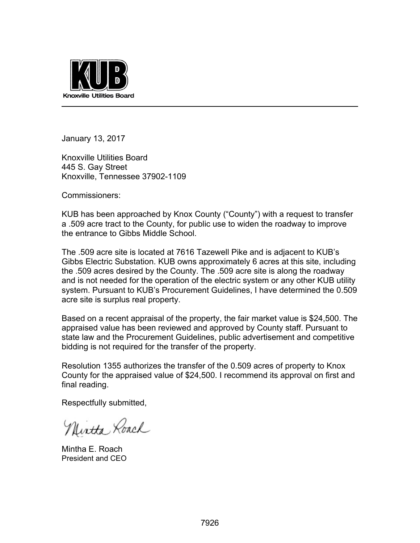

January 13, 2017

Knoxville Utilities Board 445 S. Gay Street Knoxville, Tennessee 37902-1109

Commissioners:

KUB has been approached by Knox County ("County") with a request to transfer a .509 acre tract to the County, for public use to widen the roadway to improve the entrance to Gibbs Middle School.

The .509 acre site is located at 7616 Tazewell Pike and is adjacent to KUB's Gibbs Electric Substation. KUB owns approximately 6 acres at this site, including the .509 acres desired by the County. The .509 acre site is along the roadway and is not needed for the operation of the electric system or any other KUB utility system. Pursuant to KUB's Procurement Guidelines, I have determined the 0.509 acre site is surplus real property.

Based on a recent appraisal of the property, the fair market value is \$24,500. The appraised value has been reviewed and approved by County staff. Pursuant to state law and the Procurement Guidelines, public advertisement and competitive bidding is not required for the transfer of the property.

Resolution 1355 authorizes the transfer of the 0.509 acres of property to Knox County for the appraised value of \$24,500. I recommend its approval on first and final reading.

Respectfully submitted,

Nintha Roach

Mintha E. Roach President and CEO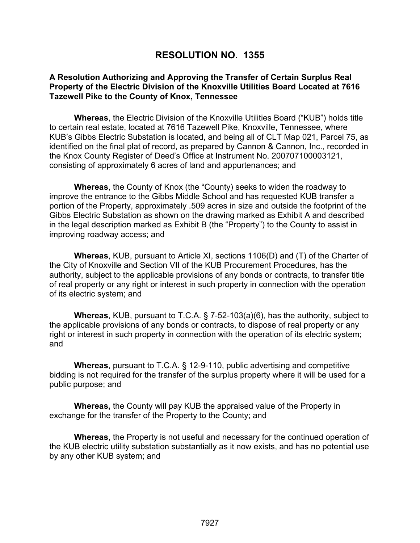# **RESOLUTION NO. 1355**

#### **A Resolution Authorizing and Approving the Transfer of Certain Surplus Real Property of the Electric Division of the Knoxville Utilities Board Located at 7616 Tazewell Pike to the County of Knox, Tennessee**

**Whereas**, the Electric Division of the Knoxville Utilities Board ("KUB") holds title to certain real estate, located at 7616 Tazewell Pike, Knoxville, Tennessee, where KUB's Gibbs Electric Substation is located, and being all of CLT Map 021, Parcel 75, as identified on the final plat of record, as prepared by Cannon & Cannon, Inc., recorded in the Knox County Register of Deed's Office at Instrument No. 200707100003121, consisting of approximately 6 acres of land and appurtenances; and

**Whereas**, the County of Knox (the "County) seeks to widen the roadway to improve the entrance to the Gibbs Middle School and has requested KUB transfer a portion of the Property, approximately .509 acres in size and outside the footprint of the Gibbs Electric Substation as shown on the drawing marked as Exhibit A and described in the legal description marked as Exhibit B (the "Property") to the County to assist in improving roadway access; and

**Whereas**, KUB, pursuant to Article XI, sections 1106(D) and (T) of the Charter of the City of Knoxville and Section VII of the KUB Procurement Procedures, has the authority, subject to the applicable provisions of any bonds or contracts, to transfer title of real property or any right or interest in such property in connection with the operation of its electric system; and

**Whereas**, KUB, pursuant to T.C.A. § 7-52-103(a)(6), has the authority, subject to the applicable provisions of any bonds or contracts, to dispose of real property or any right or interest in such property in connection with the operation of its electric system; and

**Whereas**, pursuant to T.C.A. § 12-9-110, public advertising and competitive bidding is not required for the transfer of the surplus property where it will be used for a public purpose; and

**Whereas,** the County will pay KUB the appraised value of the Property in exchange for the transfer of the Property to the County; and

**Whereas**, the Property is not useful and necessary for the continued operation of the KUB electric utility substation substantially as it now exists, and has no potential use by any other KUB system; and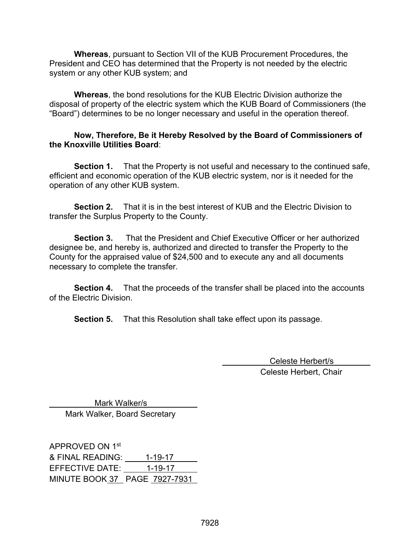**Whereas**, pursuant to Section VII of the KUB Procurement Procedures, the President and CEO has determined that the Property is not needed by the electric system or any other KUB system; and

**Whereas**, the bond resolutions for the KUB Electric Division authorize the disposal of property of the electric system which the KUB Board of Commissioners (the "Board") determines to be no longer necessary and useful in the operation thereof.

#### **Now, Therefore, Be it Hereby Resolved by the Board of Commissioners of the Knoxville Utilities Board**:

**Section 1.** That the Property is not useful and necessary to the continued safe, efficient and economic operation of the KUB electric system, nor is it needed for the operation of any other KUB system.

**Section 2.** That it is in the best interest of KUB and the Electric Division to transfer the Surplus Property to the County.

**Section 3.** That the President and Chief Executive Officer or her authorized designee be, and hereby is, authorized and directed to transfer the Property to the County for the appraised value of \$24,500 and to execute any and all documents necessary to complete the transfer.

**Section 4.** That the proceeds of the transfer shall be placed into the accounts of the Electric Division.

**Section 5.** That this Resolution shall take effect upon its passage.

 Celeste Herbert/s Celeste Herbert, Chair

 Mark Walker/s Mark Walker, Board Secretary

APPROVED ON 1st & FINAL READING: 1-19-17 EFFECTIVE DATE: 1-19-17 MINUTE BOOK 37 PAGE 7927-7931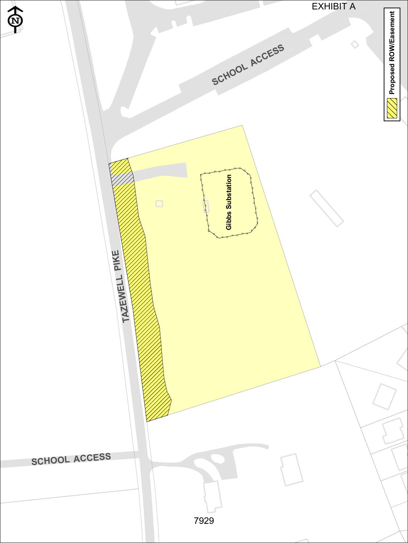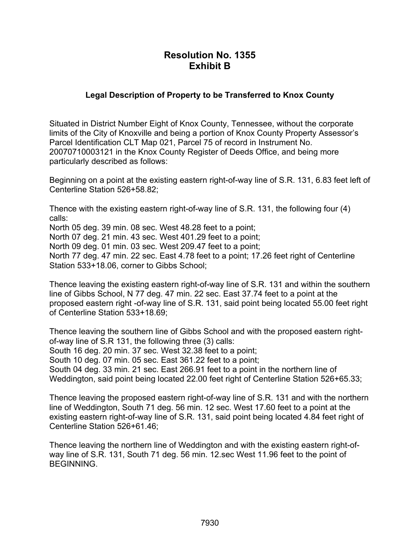# **Resolution No. 1355 Exhibit B**

## **Legal Description of Property to be Transferred to Knox County**

Situated in District Number Eight of Knox County, Tennessee, without the corporate limits of the City of Knoxville and being a portion of Knox County Property Assessor's Parcel Identification CLT Map 021, Parcel 75 of record in Instrument No. 20070710003121 in the Knox County Register of Deeds Office, and being more particularly described as follows:

Beginning on a point at the existing eastern right-of-way line of S.R. 131, 6.83 feet left of Centerline Station 526+58.82;

Thence with the existing eastern right-of-way line of S.R. 131, the following four (4) calls: North 05 deg. 39 min. 08 sec. West 48.28 feet to a point; North 07 deg. 21 min. 43 sec. West 401.29 feet to a point; North 09 deg. 01 min. 03 sec. West 209.47 feet to a point; North 77 deg. 47 min. 22 sec. East 4.78 feet to a point; 17.26 feet right of Centerline Station 533+18.06, corner to Gibbs School;

Thence leaving the existing eastern right-of-way line of S.R. 131 and within the southern line of Gibbs School, N 77 deg. 47 min. 22 sec. East 37.74 feet to a point at the proposed eastern right -of-way line of S.R. 131, said point being located 55.00 feet right of Centerline Station 533+18.69;

Thence leaving the southern line of Gibbs School and with the proposed eastern rightof-way line of S.R 131, the following three (3) calls: South 16 deg. 20 min. 37 sec. West 32.38 feet to a point; South 10 deg. 07 min. 05 sec. East 361.22 feet to a point; South 04 deg. 33 min. 21 sec. East 266.91 feet to a point in the northern line of Weddington, said point being located 22.00 feet right of Centerline Station 526+65.33;

Thence leaving the proposed eastern right-of-way line of S.R. 131 and with the northern line of Weddington, South 71 deg. 56 min. 12 sec. West 17.60 feet to a point at the existing eastern right-of-way line of S.R. 131, said point being located 4.84 feet right of Centerline Station 526+61.46;

Thence leaving the northern line of Weddington and with the existing eastern right-ofway line of S.R. 131, South 71 deg. 56 min. 12.sec West 11.96 feet to the point of BEGINNING.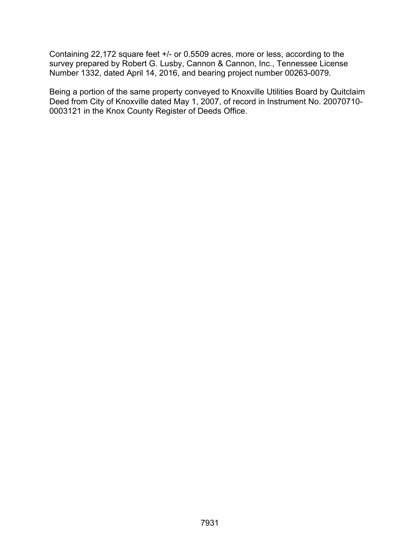Containing 22,172 square feet +/- or 0.5509 acres, more or less, according to the survey prepared by Robert G. Lusby, Cannon & Cannon, Inc., Tennessee License Number 1332, dated April 14, 2016, and bearing project number 00263-0079.

Being a portion of the same property conveyed to Knoxville Utilities Board by Quitclaim Deed from City of Knoxville dated May 1, 2007, of record in Instrument No. 20070710- 0003121 in the Knox County Register of Deeds Office.